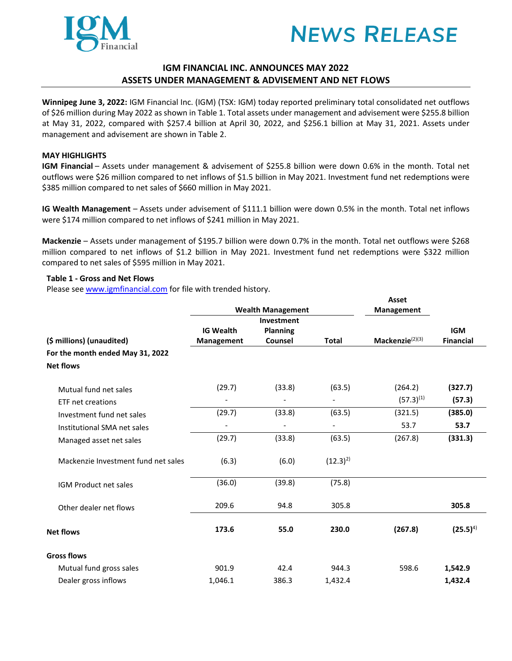



# **IGM FINANCIAL INC. ANNOUNCES MAY 2022 ASSETS UNDER MANAGEMENT & ADVISEMENT AND NET FLOWS**

**Winnipeg June 3, 2022:** IGM Financial Inc. (IGM) (TSX: IGM) today reported preliminary total consolidated net outflows of \$26 million during May 2022 as shown in Table 1. Total assets under management and advisement were \$255.8 billion at May 31, 2022, compared with \$257.4 billion at April 30, 2022, and \$256.1 billion at May 31, 2021. Assets under management and advisement are shown in Table 2.

## **MAY HIGHLIGHTS**

**IGM Financial** – Assets under management & advisement of \$255.8 billion were down 0.6% in the month. Total net outflows were \$26 million compared to net inflows of \$1.5 billion in May 2021. Investment fund net redemptions were \$385 million compared to net sales of \$660 million in May 2021.

**IG Wealth Management** – Assets under advisement of \$111.1 billion were down 0.5% in the month. Total net inflows were \$174 million compared to net inflows of \$241 million in May 2021.

**Mackenzie** – Assets under management of \$195.7 billion were down 0.7% in the month. Total net outflows were \$268 million compared to net inflows of \$1.2 billion in May 2021. Investment fund net redemptions were \$322 million compared to net sales of \$595 million in May 2021.

### **Table 1 - Gross and Net Flows**

Please se[e www.igmfinancial.com](https://can01.safelinks.protection.outlook.com/?url=http%3A%2F%2Fwww.igmfinancial.com%2F&data=04%7C01%7CJodi.Hargreaves%40ig.ca%7Cf894dfcb6d8445877ee308d8de4da32c%7Cdc411c631f524491bb51c4d215a1de23%7C0%7C0%7C637503772516830663%7CUnknown%7CTWFpbGZsb3d8eyJWIjoiMC4wLjAwMDAiLCJQIjoiV2luMzIiLCJBTiI6Ik1haWwiLCJXVCI6Mn0%3D%7C1000&sdata=CC6B85%2B4fRrPD0uJZsC5JBgH8XgyVK8HQGvtFLkzpTc%3D&reserved=0) for file with trended history.

|                                     |                          |                          |              | Asset                       |                  |
|-------------------------------------|--------------------------|--------------------------|--------------|-----------------------------|------------------|
|                                     | <b>Wealth Management</b> |                          |              | Management                  |                  |
|                                     |                          | Investment               |              |                             |                  |
|                                     | <b>IG Wealth</b>         | <b>Planning</b>          |              |                             | <b>IGM</b>       |
| (\$ millions) (unaudited)           | <b>Management</b>        | Counsel                  | <b>Total</b> | Mackenzie <sup>(2)(3)</sup> | <b>Financial</b> |
| For the month ended May 31, 2022    |                          |                          |              |                             |                  |
| <b>Net flows</b>                    |                          |                          |              |                             |                  |
| Mutual fund net sales               | (29.7)                   | (33.8)                   | (63.5)       | (264.2)                     | (327.7)          |
| ETF net creations                   |                          |                          |              | $(57.3)^{(1)}$              | (57.3)           |
| Investment fund net sales           | (29.7)                   | (33.8)                   | (63.5)       | (321.5)                     | (385.0)          |
| Institutional SMA net sales         |                          | $\overline{\phantom{a}}$ |              | 53.7                        | 53.7             |
| Managed asset net sales             | (29.7)                   | (33.8)                   | (63.5)       | (267.8)                     | (331.3)          |
| Mackenzie Investment fund net sales | (6.3)                    | (6.0)                    | $(12.3)^{2}$ |                             |                  |
| <b>IGM Product net sales</b>        | (36.0)                   | (39.8)                   | (75.8)       |                             |                  |
| Other dealer net flows              | 209.6                    | 94.8                     | 305.8        |                             | 305.8            |
| <b>Net flows</b>                    | 173.6                    | 55.0                     | 230.0        | (267.8)                     | $(25.5)^{4}$     |
| <b>Gross flows</b>                  |                          |                          |              |                             |                  |
| Mutual fund gross sales             | 901.9                    | 42.4                     | 944.3        | 598.6                       | 1,542.9          |
| Dealer gross inflows                | 1,046.1                  | 386.3                    | 1,432.4      |                             | 1,432.4          |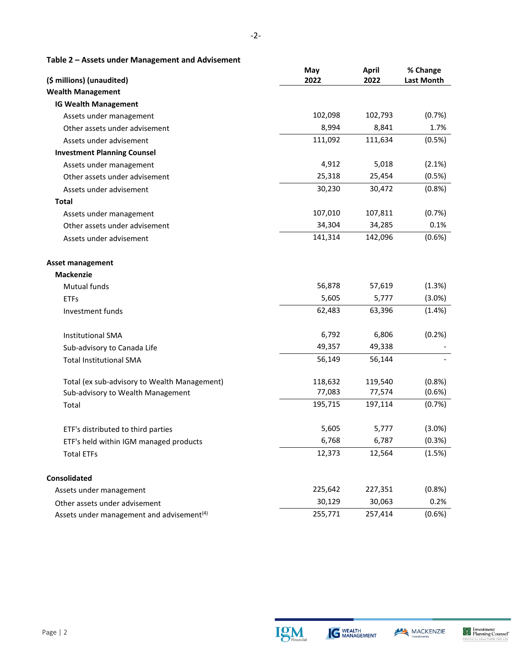**Table 2 – Assets under Management and Advisement**

| (\$ millions) (unaudited)                             | May<br>2022 | <b>April</b><br>2022 | % Change<br><b>Last Month</b> |
|-------------------------------------------------------|-------------|----------------------|-------------------------------|
| <b>Wealth Management</b>                              |             |                      |                               |
| <b>IG Wealth Management</b>                           |             |                      |                               |
| Assets under management                               | 102,098     | 102,793              | (0.7%)                        |
| Other assets under advisement                         | 8,994       | 8,841                | 1.7%                          |
| Assets under advisement                               | 111,092     | 111,634              | (0.5%)                        |
| <b>Investment Planning Counsel</b>                    |             |                      |                               |
| Assets under management                               | 4,912       | 5,018                | (2.1%)                        |
| Other assets under advisement                         | 25,318      | 25,454               | (0.5%)                        |
| Assets under advisement                               | 30,230      | 30,472               | (0.8% )                       |
| <b>Total</b>                                          |             |                      |                               |
| Assets under management                               | 107,010     | 107,811              | (0.7%)                        |
| Other assets under advisement                         | 34,304      | 34,285               | 0.1%                          |
| Assets under advisement                               | 141,314     | 142,096              | (0.6% )                       |
| <b>Asset management</b>                               |             |                      |                               |
| <b>Mackenzie</b>                                      |             |                      |                               |
| Mutual funds                                          | 56,878      | 57,619               | (1.3%)                        |
| <b>ETFs</b>                                           | 5,605       | 5,777                | $(3.0\%)$                     |
| Investment funds                                      | 62,483      | 63,396               | (1.4%)                        |
| <b>Institutional SMA</b>                              | 6,792       | 6,806                | (0.2%)                        |
| Sub-advisory to Canada Life                           | 49,357      | 49,338               |                               |
| <b>Total Institutional SMA</b>                        | 56,149      | 56,144               |                               |
| Total (ex sub-advisory to Wealth Management)          | 118,632     | 119,540              | (0.8%                         |
| Sub-advisory to Wealth Management                     | 77,083      | 77,574               | (0.6% )                       |
| Total                                                 | 195,715     | 197,114              | (0.7%)                        |
| ETF's distributed to third parties                    | 5,605       | 5,777                | $(3.0\%)$                     |
| ETF's held within IGM managed products                | 6,768       | 6,787                | (0.3%)                        |
| <b>Total ETFs</b>                                     | 12,373      | 12,564               | (1.5%)                        |
| <b>Consolidated</b>                                   |             |                      |                               |
| Assets under management                               | 225,642     | 227,351              | (0.8% )                       |
| Other assets under advisement                         | 30,129      | 30,063               | 0.2%                          |
| Assets under management and advisement <sup>(4)</sup> | 255,771     | 257,414              | (0.6%)                        |



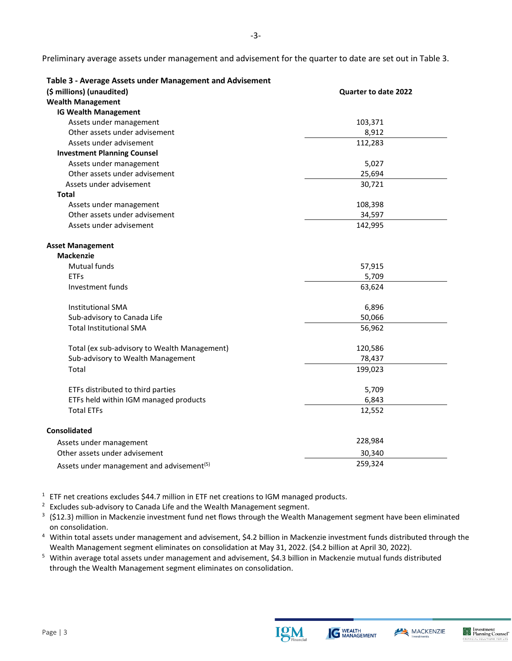-3-

| Table 3 - Average Assets under Management and Advisement |                      |
|----------------------------------------------------------|----------------------|
| (\$ millions) (unaudited)                                | Quarter to date 2022 |
| <b>Wealth Management</b>                                 |                      |
| <b>IG Wealth Management</b>                              |                      |
| Assets under management                                  | 103,371              |
| Other assets under advisement                            | 8,912                |
| Assets under advisement                                  | 112,283              |
| <b>Investment Planning Counsel</b>                       |                      |
| Assets under management                                  | 5,027                |
| Other assets under advisement                            | 25,694               |
| Assets under advisement                                  | 30,721               |
| Total                                                    |                      |
| Assets under management                                  | 108,398              |
| Other assets under advisement                            | 34,597               |
| Assets under advisement                                  | 142,995              |
| <b>Asset Management</b>                                  |                      |
| <b>Mackenzie</b>                                         |                      |
| <b>Mutual funds</b>                                      | 57,915               |
| <b>ETFs</b>                                              | 5,709                |
| Investment funds                                         | 63,624               |
| <b>Institutional SMA</b>                                 | 6,896                |
| Sub-advisory to Canada Life                              | 50,066               |
| <b>Total Institutional SMA</b>                           | 56,962               |
| Total (ex sub-advisory to Wealth Management)             | 120,586              |
| Sub-advisory to Wealth Management                        | 78,437               |
| Total                                                    | 199,023              |
| ETFs distributed to third parties                        | 5,709                |
| ETFs held within IGM managed products                    | 6,843                |
| <b>Total ETFs</b>                                        | 12,552               |
| <b>Consolidated</b>                                      |                      |
| Assets under management                                  | 228,984              |
| Other assets under advisement                            | 30,340               |
| Assets under management and advisement <sup>(5)</sup>    | 259,324              |

**Table 3 - Average Assets under Management and Advisement**

<sup>1</sup> ETF net creations excludes \$44.7 million in ETF net creations to IGM managed products.<br><sup>2</sup> Excludes sub-advisory to Canada Life and the Wealth Management segment.<br><sup>3</sup> (\$12.3) million in Mackenzie investment fund net f on consolidation.

4 Within total assets under management and advisement, \$4.2 billion in Mackenzie investment funds distributed through the

Wealth Management segment eliminates on consolidation at May 31, 2022. (\$4.2 billion at April 30, 2022). 5 Within average total assets under management and advisement, \$4.3 billion in Mackenzie mutual funds distributed through the Wealth Management segment eliminates on consolidation.